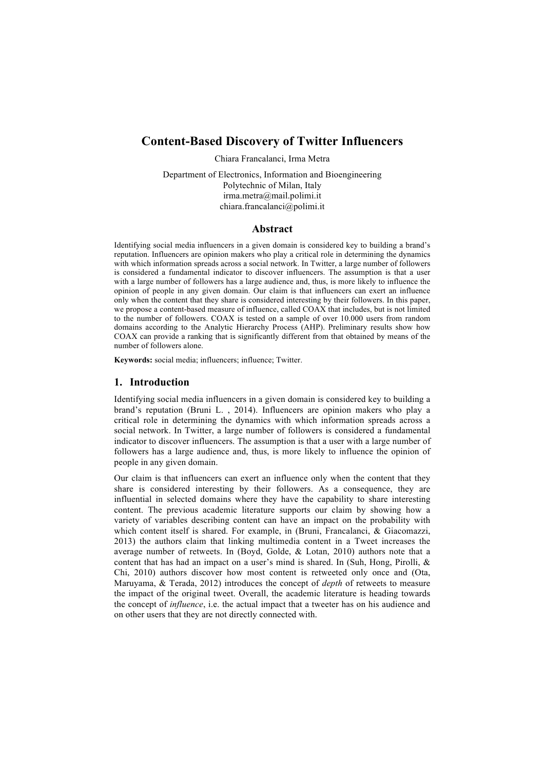# **Content-Based Discovery of Twitter Influencers**

Chiara Francalanci, Irma Metra

Department of Electronics, Information and Bioengineering Polytechnic of Milan, Italy irma.metra@mail.polimi.it chiara.francalanci@polimi.it

## **Abstract**

Identifying social media influencers in a given domain is considered key to building a brand's reputation. Influencers are opinion makers who play a critical role in determining the dynamics with which information spreads across a social network. In Twitter, a large number of followers is considered a fundamental indicator to discover influencers. The assumption is that a user with a large number of followers has a large audience and, thus, is more likely to influence the opinion of people in any given domain. Our claim is that influencers can exert an influence only when the content that they share is considered interesting by their followers. In this paper, we propose a content-based measure of influence, called COAX that includes, but is not limited to the number of followers. COAX is tested on a sample of over 10.000 users from random domains according to the Analytic Hierarchy Process (AHP). Preliminary results show how COAX can provide a ranking that is significantly different from that obtained by means of the number of followers alone.

**Keywords:** social media; influencers; influence; Twitter.

### **1. Introduction**

Identifying social media influencers in a given domain is considered key to building a brand's reputation (Bruni L. , 2014). Influencers are opinion makers who play a critical role in determining the dynamics with which information spreads across a social network. In Twitter, a large number of followers is considered a fundamental indicator to discover influencers. The assumption is that a user with a large number of followers has a large audience and, thus, is more likely to influence the opinion of people in any given domain.

Our claim is that influencers can exert an influence only when the content that they share is considered interesting by their followers. As a consequence, they are influential in selected domains where they have the capability to share interesting content. The previous academic literature supports our claim by showing how a variety of variables describing content can have an impact on the probability with which content itself is shared. For example, in (Bruni, Francalanci, & Giacomazzi, 2013) the authors claim that linking multimedia content in a Tweet increases the average number of retweets. In (Boyd, Golde, & Lotan, 2010) authors note that a content that has had an impact on a user's mind is shared. In (Suh, Hong, Pirolli, & Chi, 2010) authors discover how most content is retweeted only once and (Ota, Maruyama, & Terada, 2012) introduces the concept of *depth* of retweets to measure the impact of the original tweet. Overall, the academic literature is heading towards the concept of *influence*, i.e. the actual impact that a tweeter has on his audience and on other users that they are not directly connected with.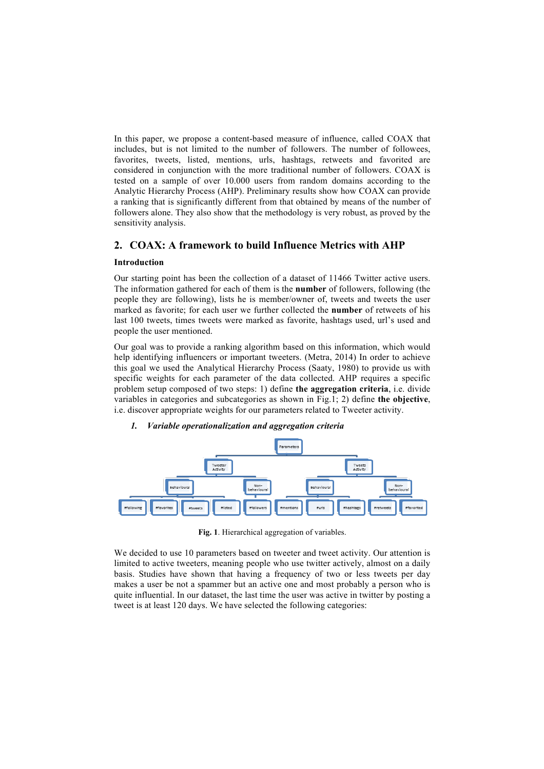In this paper, we propose a content-based measure of influence, called COAX that includes, but is not limited to the number of followers. The number of followees, favorites, tweets, listed, mentions, urls, hashtags, retweets and favorited are considered in conjunction with the more traditional number of followers. COAX is tested on a sample of over 10.000 users from random domains according to the Analytic Hierarchy Process (AHP). Preliminary results show how COAX can provide a ranking that is significantly different from that obtained by means of the number of followers alone. They also show that the methodology is very robust, as proved by the sensitivity analysis.

## **2. COAX: A framework to build Influence Metrics with AHP**

## **Introduction**

Our starting point has been the collection of a dataset of 11466 Twitter active users. The information gathered for each of them is the **number** of followers, following (the people they are following), lists he is member/owner of, tweets and tweets the user marked as favorite; for each user we further collected the **number** of retweets of his last 100 tweets, times tweets were marked as favorite, hashtags used, url's used and people the user mentioned.

Our goal was to provide a ranking algorithm based on this information, which would help identifying influencers or important tweeters. (Metra, 2014) In order to achieve this goal we used the Analytical Hierarchy Process (Saaty, 1980) to provide us with specific weights for each parameter of the data collected. AHP requires a specific problem setup composed of two steps: 1) define **the aggregation criteria**, i.e. divide variables in categories and subcategories as shown in Fig.1; 2) define **the objective**, i.e. discover appropriate weights for our parameters related to Tweeter activity.

## *1. Variable operationalization and aggregation criteria*



**Fig. 1**. Hierarchical aggregation of variables.

We decided to use 10 parameters based on tweeter and tweet activity. Our attention is limited to active tweeters, meaning people who use twitter actively, almost on a daily basis. Studies have shown that having a frequency of two or less tweets per day makes a user be not a spammer but an active one and most probably a person who is quite influential. In our dataset, the last time the user was active in twitter by posting a tweet is at least 120 days. We have selected the following categories: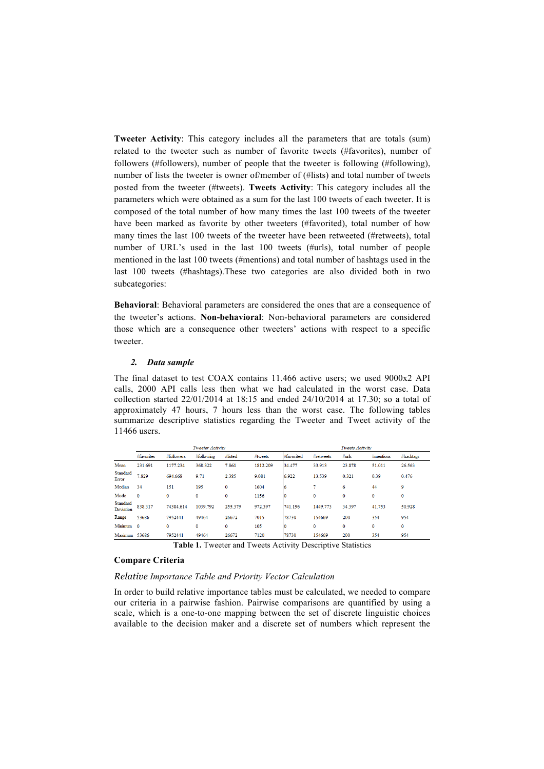**Tweeter Activity**: This category includes all the parameters that are totals (sum) related to the tweeter such as number of favorite tweets (#favorites), number of followers (#followers), number of people that the tweeter is following (#following), number of lists the tweeter is owner of/member of (#lists) and total number of tweets posted from the tweeter (#tweets). **Tweets Activity**: This category includes all the parameters which were obtained as a sum for the last 100 tweets of each tweeter. It is composed of the total number of how many times the last 100 tweets of the tweeter have been marked as favorite by other tweeters (#favorited), total number of how many times the last 100 tweets of the tweeter have been retweeted (#retweets), total number of URL's used in the last 100 tweets (#urls), total number of people mentioned in the last 100 tweets (#mentions) and total number of hashtags used in the last 100 tweets (#hashtags).These two categories are also divided both in two subcategories:

**Behavioral**: Behavioral parameters are considered the ones that are a consequence of the tweeter's actions. **Non-behavioral**: Non-behavioral parameters are considered those which are a consequence other tweeters' actions with respect to a specific tweeter.

### *2. Data sample*

The final dataset to test COAX contains 11.466 active users; we used 9000x2 API calls, 2000 API calls less then what we had calculated in the worst case. Data collection started 22/01/2014 at 18:15 and ended 24/10/2014 at 17.30; so a total of approximately 47 hours, 7 hours less than the worst case. The following tables summarize descriptive statistics regarding the Tweeter and Tweet activity of the 11466 users.

|                       |              |              | Tweeter Activity |          |          | Tweets Activity |           |        |              |              |  |
|-----------------------|--------------|--------------|------------------|----------|----------|-----------------|-----------|--------|--------------|--------------|--|
|                       | #favorites   | #followers   | #following       | #listed  | #tweets  | #favorited      | #retweets | #urls  | $#$ mentions | #hashtags    |  |
| Mean                  | 231.691      | 1177.234     | 368.322          | 7.861    | 1812.209 | 34.477          | 33.913    | 23.878 | 51.011       | 26.563       |  |
| Standard<br>Error     | 7.829        | 694.668      | 9.71             | 2.385    | 9.081    | 6.922           | 13.539    | 0.321  | 0.39         | 0.476        |  |
| Median                | 34           | 151          | 195              | $\bf{0}$ | 1604     | 16              |           | 6      | 44           | 9            |  |
| Mode                  | $\mathbf{0}$ | $\mathbf{0}$ | 0                | $\bf{0}$ | 1156     |                 | $\bf{0}$  | 0      | 0            | $\mathbf{0}$ |  |
| Standard<br>Deviation | 838.317      | 74384 614    | 1039.792         | 255.379  | 972.397  | 741.196         | 1449.773  | 34.397 | 41.753       | 50.928       |  |
| Range                 | 53686        | 7952441      | 49464            | 26672    | 7015     | 78730           | 154669    | 200    | 354          | 954          |  |
| Minimum               | $\Omega$     | 0            | 0                | $\bf{0}$ | 105      |                 | $\bf{0}$  | 0      | $\bf{0}$     | $\bf{0}$     |  |
| Maximum               | 53686        | 7952441      | 49464            | 26672    | 7120     | 78730           | 154669    | 200    | 354          | 954          |  |

**Table 1.** Tweeter and Tweets Activity Descriptive Statistics

### **Compare Criteria**

#### *Relative Importance Table and Priority Vector Calculation*

In order to build relative importance tables must be calculated, we needed to compare our criteria in a pairwise fashion. Pairwise comparisons are quantified by using a scale, which is a one-to-one mapping between the set of discrete linguistic choices available to the decision maker and a discrete set of numbers which represent the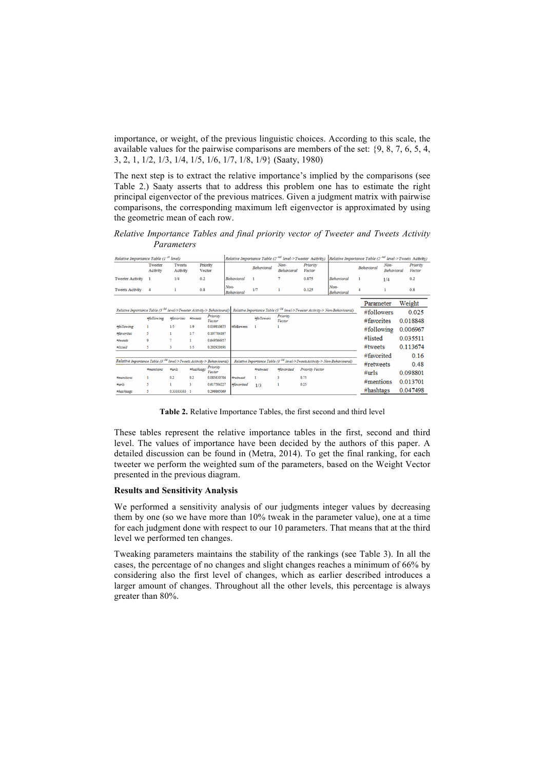importance, or weight, of the previous linguistic choices. According to this scale, the available values for the pairwise comparisons are members of the set: {9, 8, 7, 6, 5, 4, 3, 2, 1, 1/2, 1/3, 1/4, 1/5, 1/6, 1/7, 1/8, 1/9} (Saaty, 1980)

The next step is to extract the relative importance's implied by the comparisons (see Table 2.) Saaty asserts that to address this problem one has to estimate the right principal eigenvector of the previous matrices. Given a judgment matrix with pairwise comparisons, the corresponding maximum left eigenvector is approximated by using the geometric mean of each row.

*Relative Importance Tables and final priority vector of Tweeter and Tweets Activity Parameters*

| Relative Importance Table $(I^{st}$ level)                                                                                                                                |                     |                    |           |                    |                           | Relative Importance Table (2 <sup>-nd</sup> level->Tweeter Activity)                 | <i>Relative Importance Table (2<sup>-nd</sup> level-&gt;Tweets Activity)</i> |                        |                           |                         |                           |                    |
|---------------------------------------------------------------------------------------------------------------------------------------------------------------------------|---------------------|--------------------|-----------|--------------------|---------------------------|--------------------------------------------------------------------------------------|------------------------------------------------------------------------------|------------------------|---------------------------|-------------------------|---------------------------|--------------------|
|                                                                                                                                                                           | Tweeter<br>Activity | Tweets<br>Activity | Vector    | Priority           |                           | <b>Behavioral</b>                                                                    | Non-<br><b>Behavioral</b>                                                    | Priority<br>Vector     |                           | <b>Behavioral</b>       | Non-<br><b>Behavioral</b> | Priority<br>Vector |
| <b>Tweeter Activity</b>                                                                                                                                                   | -1                  | 1/4                | 0.2       |                    | <b>Behavioral</b>         |                                                                                      |                                                                              | 0.875                  | <b>Behavioral</b>         | 1                       | 1/4                       | 0.2                |
| <b>Tweets Activity</b>                                                                                                                                                    | 4                   |                    | 0.8       |                    | Non-<br><b>Behavioral</b> | 1/7                                                                                  |                                                                              | 0.125                  | Non-<br><b>Behavioral</b> |                         |                           | 0.8                |
| Relative Importance Table (3 <sup>-3d</sup> level->Tweeter Activity-> Behavioural) Relative Importance Table (3 <sup>-3d</sup> level->Tweeter Activity-> Non-Behavioural) |                     |                    |           |                    |                           |                                                                                      |                                                                              |                        |                           | Parameter<br>#followers |                           | Weight<br>0.025    |
|                                                                                                                                                                           | #following          | #favorites         | #tweets   | Priority<br>Vector |                           | #followers                                                                           | Priority<br>Vector                                                           |                        |                           | #favorites              |                           | 0.018848           |
| #following                                                                                                                                                                | 1.                  | 1/5                | 1/9       | 0.039810655        | #followers                | 1                                                                                    |                                                                              |                        |                           | #following              |                           | 0.006967           |
| <b>Mavorites</b>                                                                                                                                                          | 5                   |                    | 1/7       | 0.107704197        |                           |                                                                                      |                                                                              |                        |                           |                         |                           |                    |
| <b>Whyeets</b>                                                                                                                                                            | 9                   |                    | 1         | 0.649564957        |                           |                                                                                      |                                                                              |                        |                           | #listed                 |                           | 0.035511           |
| #listed                                                                                                                                                                   | 5                   | 3                  | 1/5       | 0.202920191        |                           |                                                                                      |                                                                              |                        |                           | #tweets                 |                           | 0.113674           |
|                                                                                                                                                                           |                     |                    |           |                    |                           |                                                                                      |                                                                              |                        |                           | #favorited              |                           | 0.16               |
| Relative Importance Table (3 <sup>-3d</sup> level->Tweets Activity-> Behavioural)                                                                                         |                     |                    |           |                    |                           | Relative Importance Table (3 <sup>-3d</sup> level->TweetsActivity-> Non-Behavioural) |                                                                              |                        |                           |                         |                           | 0.48               |
|                                                                                                                                                                           | #mentions           | $\#urls$           | #hashtags | Priority<br>Vector |                           | #retweet                                                                             | #favorited                                                                   | <b>Priority Vector</b> |                           | #retweets<br>$\#urls$   |                           | 0.098801           |
| #mentions                                                                                                                                                                 |                     | 0.2                | 0.2       | 0.085630704        | #retweet                  |                                                                                      | $\ddot{\mathbf{3}}$                                                          | 0.75                   |                           |                         |                           |                    |
| #urls                                                                                                                                                                     | s                   |                    | 3         | 0.617504227        | #favorited                | 1/3                                                                                  |                                                                              | 0.25                   |                           | $#$ mentions            |                           | 0.013701           |
| #hashtags                                                                                                                                                                 | 5                   | 0.33333333 1       |           | 0.296865069        |                           |                                                                                      |                                                                              |                        |                           | #hashtags               |                           | 0.047498           |

**Table 2.** Relative Importance Tables, the first second and third level

These tables represent the relative importance tables in the first, second and third level. The values of importance have been decided by the authors of this paper. A detailed discussion can be found in (Metra, 2014). To get the final ranking, for each tweeter we perform the weighted sum of the parameters, based on the Weight Vector presented in the previous diagram.

### **Results and Sensitivity Analysis**

We performed a sensitivity analysis of our judgments integer values by decreasing them by one (so we have more than 10% tweak in the parameter value), one at a time for each judgment done with respect to our 10 parameters. That means that at the third level we performed ten changes.

Tweaking parameters maintains the stability of the rankings (see Table 3). In all the cases, the percentage of no changes and slight changes reaches a minimum of 66% by considering also the first level of changes, which as earlier described introduces a larger amount of changes. Throughout all the other levels, this percentage is always greater than 80%.